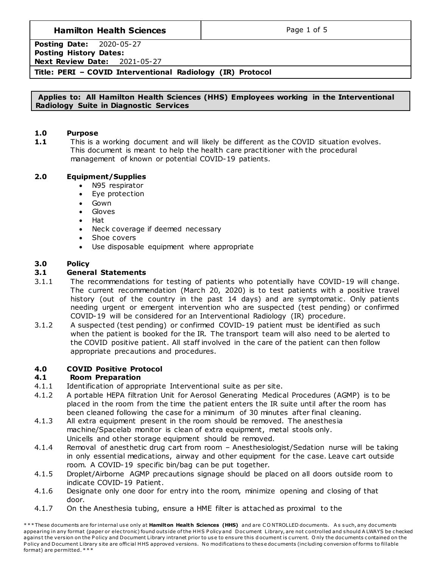# **Hamilton Health Sciences**  $\qquad$  **Page 1 of 5**

**Posting Date:** 2020-05-27 **Posting History Dates: Next Review Date:** 2021-05-27

## **Title: PERI – COVID Interventional Radiology (IR) Protocol**

#### **Applies to: All Hamilton Health Sciences (HHS) Employees working in the Interventional Radiology Suite in Diagnostic Services**

#### **1.0 Purpose**

**1.1** This is a working document and will likely be different as the COVID situation evolves. This document is meant to help the health care practitioner with the procedural management of known or potential COVID-19 patients.

#### **2.0 Equipment/Supplies**

- N95 respirator
- Eye protection
- Gown
- Gloves
- Hat
- Neck coverage if deemed necessary
- Shoe covers
- Use disposable equipment where appropriate

#### **3.0 Policy**

#### **3.1 General Statements**

- 3.1.1 The recommendations for testing of patients who potentially have COVID-19 will change. The current recommendation (March 20, 2020) is to test patients with a positive travel history (out of the country in the past 14 days) and are symptomatic. Only patients needing urgent or emergent intervention who are suspected (test pending) or confirmed COVID-19 will be considered for an Interventional Radiology (IR) procedure.
- 3.1.2 A suspected (test pending) or confirmed COVID-19 patient must be identified as such when the patient is booked for the IR. The transport team will also need to be alerted to the COVID positive patient. All staff involved in the care of the patient can then follow appropriate precautions and procedures.

### **4.0 COVID Positive Protocol**

#### **4.1 Room Preparation**

- 4.1.1 Identification of appropriate Interventional suite as per site.
- 4.1.2 A portable HEPA filtration Unit for Aerosol Generating Medical Procedures (AGMP) is to be placed in the room from the time the patient enters the IR suite until after the room has been cleaned following the case for a minimum of 30 minutes after final cleaning.
- 4.1.3 All extra equipment present in the room should be removed. The anesthesia machine/Spacelab monitor is clean of extra equipment, metal stools only. Unicells and other storage equipment should be removed.
- 4.1.4 Removal of anesthetic drug cart from room Anesthesiologist/Sedation nurse will be taking in only essential medications, airway and other equipment for the case. Leave cart outside room. A COVID-19 specific bin/bag can be put together.
- 4.1.5 Droplet/Airborne AGMP precautions signage should be placed on all doors outside room to indicate COVID-19 Patient.
- 4.1.6 Designate only one door for entry into the room, minimize opening and closing of that door.
- 4.1.7 On the Anesthesia tubing, ensure a HME filter is attached as proximal to the

\*\*\* These documents are for internal use only at Hamilton Health Sciences (HHS) and are CONTROLLED documents. As such, any documents appearing in any format (paper or electronic) found outside of the HHS Policy and Document Library, are not controlled and should A LWAYS be checked against the version on the Policy and Document Library intranet prior to use to ensure this document is current. Only the documents contained on the Policy and Document Library site are official HHS approved versions. No modifications to these documents (including conversion of forms to fillable format) are permitted. \* \* \*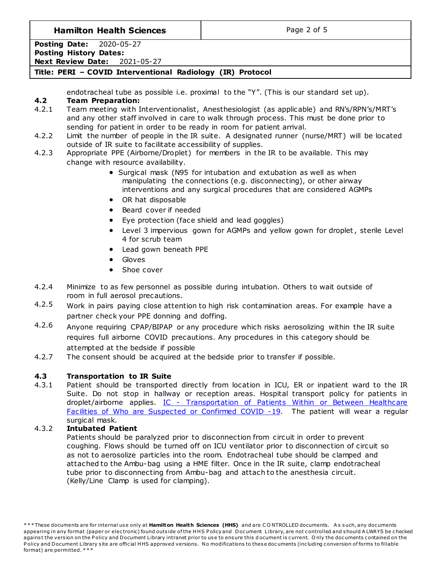### **Hamilton Health Sciences**  $\qquad$  **Page 2 of 5**

**Posting Date:** 2020-05-27 **Posting History Dates: Next Review Date:** 2021-05-27

### **Title: PERI – COVID Interventional Radiology (IR) Protocol**

endotracheal tube as possible i.e. proximal to the "Y". (This is our standard set up).

### **4.2 Team Preparation:**

- 4.2.1 Team meeting with Interventionalist, Anesthesiologist (as applicable) and RN's/RPN's/MRT's and any other staff involved in care to walk through process. This must be done prior to sending for patient in order to be ready in room for patient arrival.
- 4.2.2 Limit the number of people in the IR suite. A designated runner (nurse/MRT) will be located outside of IR suite to facilitate accessibility of supplies.
- 4.2.3 Appropriate PPE (Airborne/Droplet) for members in the IR to be available. This may change with resource availability.
	- Surgical mask (N95 for intubation and extubation as well as when manipulating the connections (e.g. disconnecting), or other airway interventions and any surgical procedures that are considered AGMPs
	- OR hat disposable
	- Beard cover if needed
	- Eye protection (face shield and lead goggles)
	- Level 3 impervious gown for AGMPs and yellow gown for droplet, sterile Level 4 for scrub team
	- Lead gown beneath PPE
	- Gloves
	- Shoe cover
- 4.2.4 Minimize to as few personnel as possible during intubation. Others to wait outside of room in full aerosol precautions.
- 4.2.5 Work in pairs paying close attention to high risk contamination areas. For example have a partner check your PPE donning and doffing.
- 4.2.6 Anyone requiring CPAP/BIPAP or any procedure which risks aerosolizing within the IR suite requires full airborne COVID precautions. Any procedures in this category should be attempted at the bedside if possible
- 4.2.7 The consent should be acquired at the bedside prior to transfer if possible.

### **4.3 Transportation to IR Suite**

4.3.1 Patient should be transported directly from location in ICU, ER or inpatient ward to the IR Suite. Do not stop in hallway or reception areas. Hospital transport policy for patients in droplet/airborne applies. IC - Transportation of Patients Within or Between Healthcare [Facilities of Who are Suspected or Confirmed COVID -19.](http://policy.hhsc.ca/Site_Published/hhsc/document_render.aspx?documentRender.IdType=6&documentRender.GenericField=&documentRender.Id=100159) The patient will wear a regular surgical mask.

### 4.3.2 **Intubated Patient**

Patients should be paralyzed prior to disconnection from circuit in order to prevent coughing. Flows should be turned off on ICU ventilator prior to disconnection of circuit so as not to aerosolize particles into the room. Endotracheal tube should be clamped and attached to the Ambu-bag using a HME filter. Once in the IR suite, clamp endotracheal tube prior to disconnecting from Ambu-bag and attach to the anesthesia circuit. (Kelly/Line Clamp is used for clamping).

<sup>\*\*\*</sup> These documents are for internal use only at Hamilton Health Sciences (HHS) and are CONTROLLED documents. As such, any documents appearing in any format (paper or electronic) found outside of the HHS Policy and Document Library, are not controlled and should A LWAYS be checked against the version on the Policy and Document Library intranet prior to use to ensure this document is current. Only the documents contained on the Policy and Document Library site are official HHS approved versions. No modifications to these documents (including conversion of forms to fillable format) are permitted. \* \* \*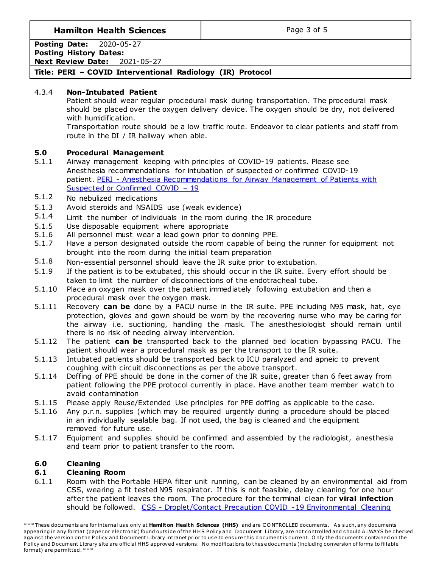## **Hamilton Health Sciences**  $\qquad$  **Page 3 of 5**

**Posting Date:** 2020-05-27 **Posting History Dates: Next Review Date:** 2021-05-27

## **Title: PERI – COVID Interventional Radiology (IR) Protocol**

### 4.3.4 **Non-Intubated Patient**

Patient should wear regular procedural mask during transportation. The procedural mask should be placed over the oxygen delivery device. The oxygen should be dry, not delivered with humidification.

Transportation route should be a low traffic route. Endeavor to clear patients and staff from route in the DI / IR hallway when able.

### **5.0 Procedural Management**

- 5.1.1 Airway management keeping with principles of COVID-19 patients. Please see Anesthesia recommendations for intubation of suspected or confirmed COVID-19 patient. PERI - [Anesthesia Recommendations for Airway Management of Patients with](http://policy.hhsc.ca/Site_Published/hhsc/document_render.aspx?documentRender.IdType=6&documentRender.GenericField=&documentRender.Id=100030)  [Suspected or Confirmed COVID](http://policy.hhsc.ca/Site_Published/hhsc/document_render.aspx?documentRender.IdType=6&documentRender.GenericField=&documentRender.Id=100030) – 19
- 5.1.2 No nebulized medications
- 5.1.3 Avoid steroids and NSAIDS use (weak evidence)
- 5.1.4 Limit the number of individuals in the room during the IR procedure
- 5.1.5 Use disposable equipment where appropriate
- 5.1.6 All personnel must wear a lead gown prior to donning PPE.
- 5.1.7 Have a person designated outside the room capable of being the runner for equipment not brought into the room during the initial team preparation
- 5.1.8 Non-essential personnel should leave the IR suite prior to extubation.
- 5.1.9 If the patient is to be extubated, this should occur in the IR suite. Every effort should be taken to limit the number of disconnections of the endotracheal tube.
- 5.1.10 Place an oxygen mask over the patient immediately following extubation and then a procedural mask over the oxygen mask.
- 5.1.11 Recovery **can be** done by a PACU nurse in the IR suite. PPE including N95 mask, hat, eye protection, gloves and gown should be worn by the recovering nurse who may be caring for the airway i.e. suctioning, handling the mask. The anesthesiologist should remain until there is no risk of needing airway intervention.
- 5.1.12 The patient **can be** transported back to the planned bed location bypassing PACU. The patient should wear a procedural mask as per the transport to the IR suite.
- 5.1.13 Intubated patients should be transported back to ICU paralyzed and apneic to prevent coughing with circuit disconnections as per the above transport.
- 5.1.14 Doffing of PPE should be done in the corner of the IR suite, greater than 6 feet away from patient following the PPE protocol currently in place. Have another team member watch to avoid contamination
- 5.1.15 Please apply Reuse/Extended Use principles for PPE doffing as applicable to the case.
- 5.1.16 Any p.r.n. supplies (which may be required urgently during a procedure should be placed in an individually sealable bag. If not used, the bag is cleaned and the equipment removed for future use.
- 5.1.17 Equipment and supplies should be confirmed and assembled by the radiologist, anesthesia and team prior to patient transfer to the room.

# **6.0 Cleaning**

### **6.1 Cleaning Room**

6.1.1 Room with the Portable HEPA filter unit running, can be cleaned by an environmental aid from CSS, wearing a fit tested N95 respirator. If this is not feasible, delay cleaning for one hour after the patient leaves the room. The procedure for the terminal clean for **viral infection** should be followed. CSS - [Droplet/Contact Precaution COVID -19 Environmental Cleaning](http://policy.hhsc.ca/Site_Published/hhsc/document_render.aspx?documentRender.IdType=6&documentRender.GenericField=&documentRender.Id=100145) 

<sup>\*\*\*</sup> These documents are for internal use only at **Hamilton Health Sciences (HHS)** and are CONTROLLED documents. As such, any documents appearing in any format (paper or electronic) found outside of the HHS Policy and Document Library, are not controlled and should A LWAYS be checked against the version on the Policy and Document Library intranet prior to use to ensure this document is current. Only the documents contained on the Policy and Document Library site are official HHS approved versions. No modifications to these documents (including conversion of forms to fillable format) are permitted. \* \* \*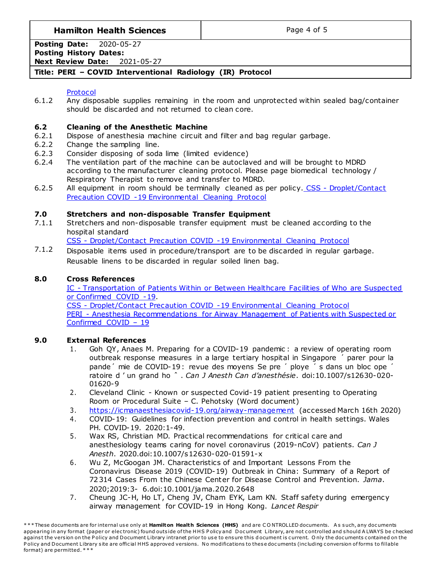# **Hamilton Health Sciences**  $\qquad$  **Page 4 of 5**

**Posting Date:** 2020-05-27 **Posting History Dates:**

**Next Review Date:** 2021-05-27

# **Title: PERI – COVID Interventional Radiology (IR) Protocol**

#### [Protocol](http://policy.hhsc.ca/Site_Published/hhsc/document_render.aspx?documentRender.IdType=6&documentRender.GenericField=&documentRender.Id=100145)

6.1.2 Any disposable supplies remaining in the room and unprotected within sealed bag/container should be discarded and not returned to clean core.

### **6.2 Cleaning of the Anesthetic Machine**

- 6.2.1 Dispose of anesthesia machine circuit and filter and bag regular garbage.
- 6.2.2 Change the sampling line.
- 6.2.3 Consider disposing of soda lime (limited evidence)
- 6.2.4 The ventilation part of the machine can be autoclaved and will be brought to MDRD according to the manufacturer cleaning protocol. Please page biomedical technology / Respiratory Therapist to remove and transfer to MDRD.
- 6.2.5 All equipment in room should be terminally cleaned as per policy. CSS Droplet/Contact [Precaution COVID -19 Environmental Cleaning Protocol](http://policy.hhsc.ca/Site_Published/hhsc/document_render.aspx?documentRender.IdType=6&documentRender.GenericField=&documentRender.Id=100145)

### **7.0 Stretchers and non-disposable Transfer Equipment**

7.1.1 Stretchers and non-disposable transfer equipment must be cleaned according to the hospital standard

CSS - [Droplet/Contact Precaution COVID -19 Environmental Cleaning Protocol](http://policy.hhsc.ca/Site_Published/hhsc/document_render.aspx?documentRender.IdType=6&documentRender.GenericField=&documentRender.Id=100145)

7.1.2 Disposable items used in procedure/transport are to be discarded in regular garbage. Reusable linens to be discarded in regular soiled linen bag.

#### **8.0 Cross References**

IC - [Transportation of Patients Within or Between Healthcare Facilities of Who are Suspected](http://policy.hhsc.ca/Site_Published/hhsc/document_render.aspx?documentRender.IdType=6&documentRender.GenericField=&documentRender.Id=100159)  [or Confirmed COVID -19.](http://policy.hhsc.ca/Site_Published/hhsc/document_render.aspx?documentRender.IdType=6&documentRender.GenericField=&documentRender.Id=100159)

CSS - [Droplet/Contact Precaution COVID -19 Environmental Cleaning Protocol](http://policy.hhsc.ca/Site_Published/hhsc/document_render.aspx?documentRender.IdType=6&documentRender.GenericField=&documentRender.Id=100145) PERI - [Anesthesia Recommendations for Airway Management of Patients with Suspected or](http://policy.hhsc.ca/Site_Published/hhsc/document_render.aspx?documentRender.IdType=6&documentRender.GenericField=&documentRender.Id=100030)  [Confirmed COVID](http://policy.hhsc.ca/Site_Published/hhsc/document_render.aspx?documentRender.IdType=6&documentRender.GenericField=&documentRender.Id=100030) – 19

### **9.0 External References**

- 1. Goh QY, Anaes M. Preparing for a COVID-19 pandemic: a review of operating room outbreak response measures in a large tertiary hospital in Singapore ´ parer pour la pande´ mie de COVID-19 : revue des moyens Se pre ´ ploye ´ s dans un bloc ope ´ ratoire d ' un grand ho ˆ . *Can J Anesth Can d'anesthésie*. doi:10.1007/s12630-020- 01620-9
- 2. Cleveland Clinic Known or suspected Covid-19 patient presenting to Operating Room or Procedural Suite – C. Pehotsky (Word document)
- 3. <https://icmanaesthesiacovid-19.org/airway-management> (accessed March 16th 2020)
- 4. COVID-19: Guidelines for infection prevention and control in health settings. Wales PH. COVID-19. 2020:1-49.
- 5. Wax RS, Christian MD. Practical recommendations for critical care and anesthesiology teams caring for novel coronavirus (2019-nCoV) patients. *Can J Anesth*. 2020.doi:10.1007/s12630-020-01591-x
- 6. Wu Z, McGoogan JM. Characteristics of and Important Lessons From the Coronavirus Disease 2019 (COVID-19) Outbreak in China: Summary of a Report of 72 314 Cases From the Chinese Center for Disease Control and Prevention. *Jama*. 2020;2019:3- 6.doi:10.1001/jama.2020.2648
- 7. Cheung JC-H, Ho LT, Cheng JV, Cham EYK, Lam KN. Staff safety during emergency airway management for COVID-19 in Hong Kong. *Lancet Respir*

<sup>\*\*\*</sup> These documents are for internal use only at Hamilton Health Sciences (HHS) and are CONTROLLED documents. As such, any documents appearing in any format (paper or electronic) found outside of the HHS Policy and Document Library, are not controlled and should A LWAYS be checked against the version on the Policy and Document Library intranet prior to use to ensure this document is current. Only the documents contained on the Policy and Document Library site are official HHS approved versions. No modifications to these documents (including conversion of forms to fillable format) are permitted. \* \* \*